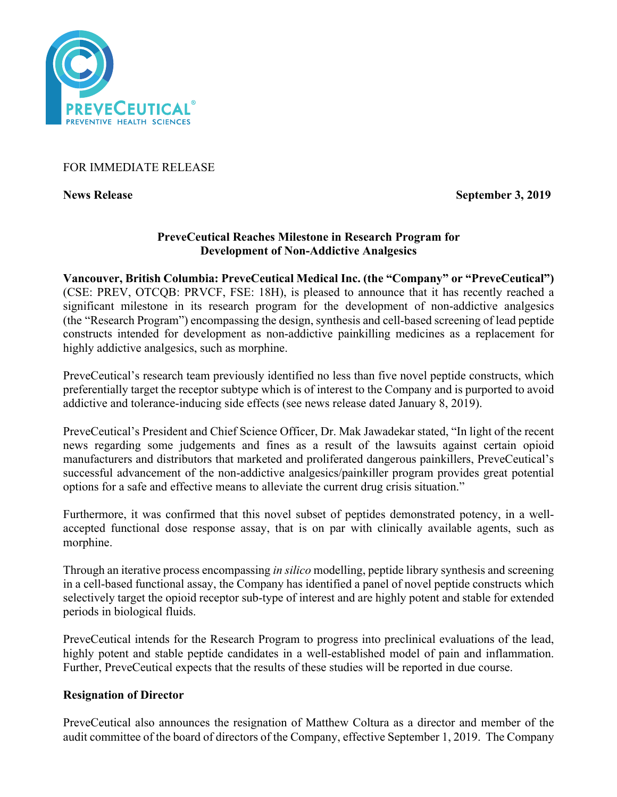

FOR IMMEDIATE RELEASE

**News Release** September 3, 2019

## **PreveCeutical Reaches Milestone in Research Program for Development of Non-Addictive Analgesics**

**Vancouver, British Columbia: PreveCeutical Medical Inc. (the "Company" or "PreveCeutical")** (CSE: PREV, OTCQB: PRVCF, FSE: 18H), is pleased to announce that it has recently reached a significant milestone in its research program for the development of non-addictive analgesics (the "Research Program") encompassing the design, synthesis and cell-based screening of lead peptide constructs intended for development as non-addictive painkilling medicines as a replacement for highly addictive analgesics, such as morphine.

PreveCeutical's research team previously identified no less than five novel peptide constructs, which preferentially target the receptor subtype which is of interest to the Company and is purported to avoid addictive and tolerance-inducing side effects (see news release dated January 8, 2019).

PreveCeutical's President and Chief Science Officer, Dr. Mak Jawadekar stated, "In light of the recent news regarding some judgements and fines as a result of the lawsuits against certain opioid manufacturers and distributors that marketed and proliferated dangerous painkillers, PreveCeutical's successful advancement of the non-addictive analgesics/painkiller program provides great potential options for a safe and effective means to alleviate the current drug crisis situation."

Furthermore, it was confirmed that this novel subset of peptides demonstrated potency, in a wellaccepted functional dose response assay, that is on par with clinically available agents, such as morphine.

Through an iterative process encompassing *in silico* modelling, peptide library synthesis and screening in a cell-based functional assay, the Company has identified a panel of novel peptide constructs which selectively target the opioid receptor sub-type of interest and are highly potent and stable for extended periods in biological fluids.

PreveCeutical intends for the Research Program to progress into preclinical evaluations of the lead, highly potent and stable peptide candidates in a well-established model of pain and inflammation. Further, PreveCeutical expects that the results of these studies will be reported in due course.

#### **Resignation of Director**

PreveCeutical also announces the resignation of Matthew Coltura as a director and member of the audit committee of the board of directors of the Company, effective September 1, 2019. The Company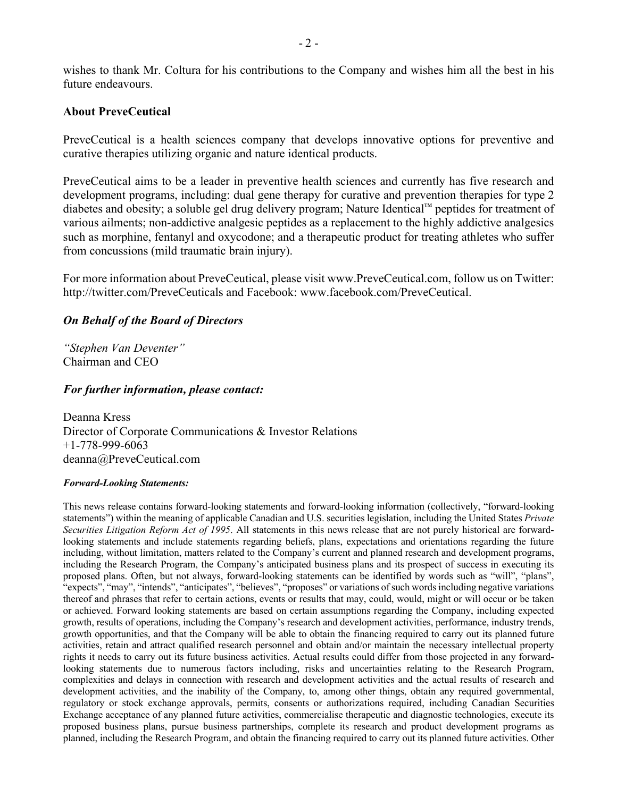wishes to thank Mr. Coltura for his contributions to the Company and wishes him all the best in his future endeavours.

### **About PreveCeutical**

PreveCeutical is a health sciences company that develops innovative options for preventive and curative therapies utilizing organic and nature identical products.

PreveCeutical aims to be a leader in preventive health sciences and currently has five research and development programs, including: dual gene therapy for curative and prevention therapies for type 2 diabetes and obesity; a soluble gel drug delivery program; Nature Identical™ peptides for treatment of various ailments; non-addictive analgesic peptides as a replacement to the highly addictive analgesics such as morphine, fentanyl and oxycodone; and a therapeutic product for treating athletes who suffer from concussions (mild traumatic brain injury).

For more information about PreveCeutical, please visit www.PreveCeutical.com, follow us on Twitter: http://twitter.com/PreveCeuticals and Facebook: www.facebook.com/PreveCeutical.

# *On Behalf of the Board of Directors*

*"Stephen Van Deventer"* Chairman and CEO

## *For further information, please contact:*

Deanna Kress Director of Corporate Communications & Investor Relations +1-778-999-6063 deanna@PreveCeutical.com

#### *Forward-Looking Statements:*

This news release contains forward-looking statements and forward-looking information (collectively, "forward-looking statements") within the meaning of applicable Canadian and U.S. securities legislation, including the United States *Private Securities Litigation Reform Act of 1995*. All statements in this news release that are not purely historical are forwardlooking statements and include statements regarding beliefs, plans, expectations and orientations regarding the future including, without limitation, matters related to the Company's current and planned research and development programs, including the Research Program, the Company's anticipated business plans and its prospect of success in executing its proposed plans. Often, but not always, forward-looking statements can be identified by words such as "will", "plans", "expects", "may", "intends", "anticipates", "believes", "proposes" or variations of such words including negative variations thereof and phrases that refer to certain actions, events or results that may, could, would, might or will occur or be taken or achieved. Forward looking statements are based on certain assumptions regarding the Company, including expected growth, results of operations, including the Company's research and development activities, performance, industry trends, growth opportunities, and that the Company will be able to obtain the financing required to carry out its planned future activities, retain and attract qualified research personnel and obtain and/or maintain the necessary intellectual property rights it needs to carry out its future business activities. Actual results could differ from those projected in any forwardlooking statements due to numerous factors including, risks and uncertainties relating to the Research Program, complexities and delays in connection with research and development activities and the actual results of research and development activities, and the inability of the Company, to, among other things, obtain any required governmental, regulatory or stock exchange approvals, permits, consents or authorizations required, including Canadian Securities Exchange acceptance of any planned future activities, commercialise therapeutic and diagnostic technologies, execute its proposed business plans, pursue business partnerships, complete its research and product development programs as planned, including the Research Program, and obtain the financing required to carry out its planned future activities. Other